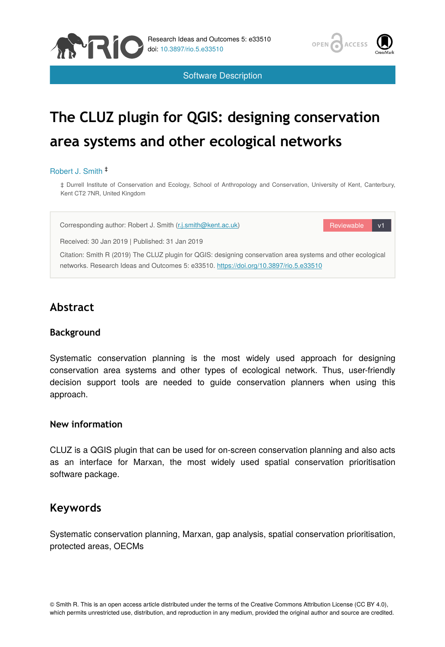



Software Description

# **The CLUZ plugin for QGIS: designing conservation area systems and other ecological networks**

#### Robert J. Smith ‡

‡ Durrell Institute of Conservation and Ecology, School of Anthropology and Conservation, University of Kent, Canterbury, Kent CT2 7NR, United Kingdom

Corresponding author: Robert J. Smith ([r.j.smith@kent.ac.uk\)](mailto:r.j.smith@kent.ac.uk)

Reviewable v1

Received: 30 Jan 2019 | Published: 31 Jan 2019

Citation: Smith R (2019) The CLUZ plugin for QGIS: designing conservation area systems and other ecological networks. Research Ideas and Outcomes 5: e33510. <https://doi.org/10.3897/rio.5.e33510>

# **Abstract**

### **Background**

Systematic conservation planning is the most widely used approach for designing conservation area systems and other types of ecological network. Thus, user-friendly decision support tools are needed to guide conservation planners when using this approach.

### **New information**

CLUZ is a QGIS plugin that can be used for on-screen conservation planning and also acts as an interface for Marxan, the most widely used spatial conservation prioritisation software package.

# **Keywords**

Systematic conservation planning, Marxan, gap analysis, spatial conservation prioritisation, protected areas, OECMs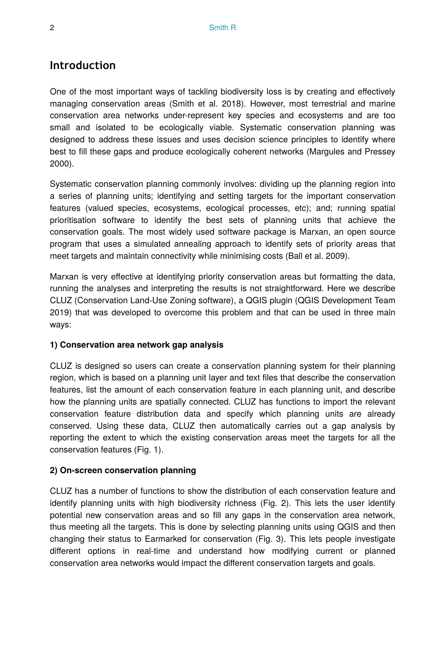# **Introduction**

One of the most important ways of tackling biodiversity loss is by creating and effectively managing conservation areas (Smith et al. 2018). However, most terrestrial and marine conservation area networks under-represent key species and ecosystems and are too small and isolated to be ecologically viable. Systematic conservation planning was designed to address these issues and uses decision science principles to identify where best to fill these gaps and produce ecologically coherent networks (Margules and Pressey 2000).

Systematic conservation planning commonly involves: dividing up the planning region into a series of planning units; identifying and setting targets for the important conservation features (valued species, ecosystems, ecological processes, etc); and; running spatial prioritisation software to identify the best sets of planning units that achieve the conservation goals. The most widely used software package is Marxan, an open source program that uses a simulated annealing approach to identify sets of priority areas that meet targets and maintain connectivity while minimising costs (Ball et al. 2009).

Marxan is very effective at identifying priority conservation areas but formatting the data, running the analyses and interpreting the results is not straightforward. Here we describe CLUZ (Conservation Land-Use Zoning software), a QGIS plugin (QGIS Development Team 2019) that was developed to overcome this problem and that can be used in three main ways:

### **1) Conservation area network gap analysis**

CLUZ is designed so users can create a conservation planning system for their planning region, which is based on a planning unit layer and text files that describe the conservation features, list the amount of each conservation feature in each planning unit, and describe how the planning units are spatially connected. CLUZ has functions to import the relevant conservation feature distribution data and specify which planning units are already conserved. Using these data, CLUZ then automatically carries out a gap analysis by reporting the extent to which the existing conservation areas meet the targets for all the conservation features (Fig. 1).

### **2) On-screen conservation planning**

CLUZ has a number of functions to show the distribution of each conservation feature and identify planning units with high biodiversity richness (Fig. 2). This lets the user identify potential new conservation areas and so fill any gaps in the conservation area network, thus meeting all the targets. This is done by selecting planning units using QGIS and then changing their status to Earmarked for conservation (Fig. 3). This lets people investigate different options in real-time and understand how modifying current or planned conservation area networks would impact the different conservation targets and goals.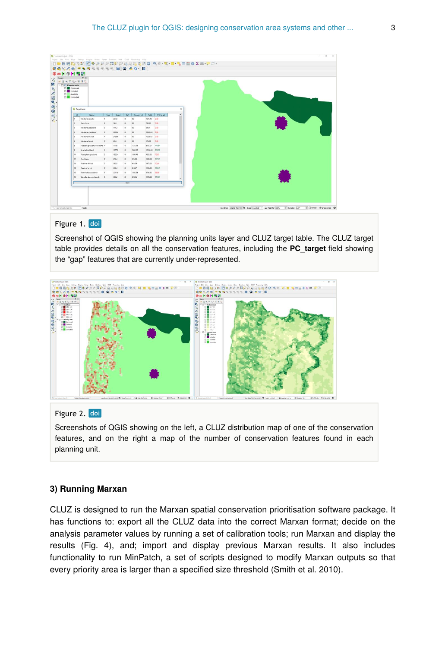|                                                 |       | $B \times$                  |               |        |              |           |                 |                |        |  |  |  |
|-------------------------------------------------|-------|-----------------------------|---------------|--------|--------------|-----------|-----------------|----------------|--------|--|--|--|
| $\sim$ $\boxtimes$ 0 <sup>2</sup> Bening units  |       | ■高大下石-津津口                   |               |        |              |           |                 |                |        |  |  |  |
| <b>Ed Conserved</b><br><b>Solution</b> Euclided |       |                             |               |        |              |           |                 |                |        |  |  |  |
| <b>El</b> Available<br><b>Ed Exmanded</b>       |       |                             |               |        |              |           |                 |                |        |  |  |  |
|                                                 |       |                             |               |        |              |           |                 |                |        |  |  |  |
|                                                 |       |                             |               |        |              |           |                 |                |        |  |  |  |
|                                                 |       | <b>Q</b> Target table       |               |        |              |           |                 |                | ×      |  |  |  |
|                                                 | $-16$ | Name                        | $T_{\rm YDE}$ | Terpet | Spt          | Conserved |                 | Total C.target | $\sim$ |  |  |  |
|                                                 |       | Montane aquatic             | $\mathbf{1}$  | 257.8  | 13           | 34        | 1221.43 0.00    |                |        |  |  |  |
|                                                 | l2    | Rockfaces                   | IL.           | 14.5   | 15           | 44        | 790.32          | $-0.00$        |        |  |  |  |
|                                                 | l٤    | Montane grassland           | $\mathbf{z}$  | 111.2  | 13           | 40        | 340.1           | 1000           |        |  |  |  |
|                                                 | ×     | Montane woodland            | IL.           | 5090.2 | 10           | 44        | 24998.55 0.00   |                |        |  |  |  |
|                                                 | Ιs    | Montane thicket             | ×.            | 2198.6 | 15           | $40 -$    | 10270.31 0.00   |                |        |  |  |  |
|                                                 | ı.    | Montane forest              | $\mathbf{z}$  | 69.5   | 15           | 14        | 175.00          | 400            |        |  |  |  |
|                                                 | l s:  | Acada nigrescens woodland 1 |               | 777,6  | 15           | 1134.05   | 6781.07 145.84  |                |        |  |  |  |
|                                                 | ١ø    | Acada bushland              | n             | 1077.2 | 10           | 2906.06   | 10100.05 269.70 |                |        |  |  |  |
|                                                 | 11    | Floodplain grassland        | 12            | 1922.4 | 12           | 1309.43   | 4382.53 72.60   |                |        |  |  |  |
|                                                 | 12    | <b>Reed beds</b>            | $\mathbf{z}$  | 672.4  | 12           | 925.93    | 1639.30 137.71  |                |        |  |  |  |
|                                                 | 13    | <b>Riverine thicket</b>     | 12            | 592.8  | 12           | 418.59    | 1473.55 70.61   |                |        |  |  |  |
|                                                 | 14    | <b>Riverine forms</b>       | $\mathbb{Z}$  | 432.4  | 12           | 814.67    | 1106.03 100.41  |                |        |  |  |  |
|                                                 | 18    | Terminalia woodland         |               | 2211.6 | 12           | 1545.04   | 9786.92 69.85   |                |        |  |  |  |
|                                                 | 19    | Woodland on red sands       |               | 342.2  | 15           | 410.26    | 1728.04 119.89  |                |        |  |  |  |
|                                                 |       |                             |               |        | <b>Close</b> |           |                 |                |        |  |  |  |
|                                                 |       |                             |               |        |              |           |                 |                |        |  |  |  |

### Figure 1. doi

Screenshot of QGIS showing the planning units layer and CLUZ target table. The CLUZ target table provides details on all the conservation features, including the **PC\_target** field showing the "gap" features that are currently under-represented.



### Figure 2. doi

Screenshots of QGIS showing on the left, a CLUZ distribution map of one of the conservation features, and on the right a map of the number of conservation features found in each planning unit.

#### **3) Running Marxan**

CLUZ is designed to run the Marxan spatial conservation prioritisation software package. It has functions to: export all the CLUZ data into the correct Marxan format; decide on the analysis parameter values by running a set of calibration tools; run Marxan and display the results (Fig. 4), and; import and display previous Marxan results. It also includes functionality to run MinPatch, a set of scripts designed to modify Marxan outputs so that every priority area is larger than a specified size threshold (Smith et al. 2010).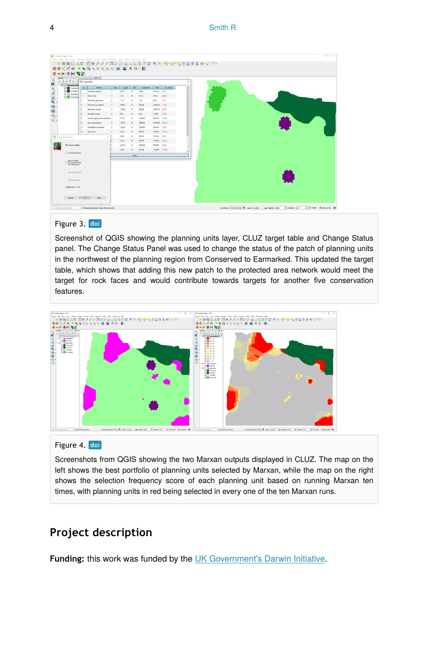|                                                       |     | $R \times$                   |                |        |                 |           |                 |           |  |  |  |
|-------------------------------------------------------|-----|------------------------------|----------------|--------|-----------------|-----------|-----------------|-----------|--|--|--|
| ■ 店 W 〒 Si → Il Q Targettable                         |     |                              |                |        |                 |           |                 |           |  |  |  |
| $\sim$ $\Box$ <sup>01</sup> Bening units              | id. | Name                         | Type:          | Target | Set             | Conserved | Tetal           | PC target |  |  |  |
| <b>Ed Conserved</b><br><b>S2</b> Excluded             |     | Montane aquatic              | h.             | 257.8  | 10 <sub>1</sub> | 13.69     | 1221.43 5.31    |           |  |  |  |
| <b>El</b> Available                                   |     | Rock faces                   | $\mathbb{R}^n$ | 14.8   | 10 <sup>°</sup> | 51.32     | 790.32          | 346.76    |  |  |  |
| <b>Ed Exemploy</b>                                    |     | Montane grassland            | $\overline{z}$ | 111.2  | 10              | 1.63      | MA1             | 1.47      |  |  |  |
|                                                       |     | Montane woodland             | $\mathbb{R}^n$ | 5090.2 | 10 <sup>°</sup> | 590.08    | 24908.55 11.50  |           |  |  |  |
|                                                       |     | <b>Montane thicket</b>       | ×              | 2198.6 | 10              | 608.08    | 10279.31 27.66  |           |  |  |  |
|                                                       |     | <b>Montane forest</b>        | $\mathcal{P}$  | 69.6   | 10 <sup>°</sup> | 25.0      | 175.00          | 35.92     |  |  |  |
|                                                       |     | Acacia nigrescens weedland 1 |                | 777.6  | 10 <sup>°</sup> | 1134.05   | 6781.07 145.54  |           |  |  |  |
|                                                       |     | Acada bushland               | $\mathbb{Z}$   | 1077.2 | 10 <sup>°</sup> | 2006.06   | 10100.05 269.78 |           |  |  |  |
|                                                       | 11  | Reedplain grassfand          | $\overline{z}$ | 1922.4 | 10              | 1399.43   | 4382.53 72.80   |           |  |  |  |
|                                                       | 12  | Reed beck                    | z              | 672.4  | $10^{\circ}$    | 925.93    | 1639.38         | 137.71    |  |  |  |
| Q Change Status panel                                 |     | ×                            | lz             | 592.8  | 10              | 418.59    | 1473.55 70.61   |           |  |  |  |
|                                                       |     |                              |                | 432.4  | 10 <sup>°</sup> | 814.67    | 1106.03         | 133.41    |  |  |  |
| <b>Co Set as Available</b>                            |     |                              |                | 2211.6 | 10              | 1545.04   | 9786.92         | 09.86     |  |  |  |
| O Set as Earnarius                                    |     |                              |                | 342.2  | 10 <sub>1</sub> | 410.26    | 1720.04 119.00  |           |  |  |  |
|                                                       |     |                              |                |        | <b>Cost</b>     |           |                 |           |  |  |  |
| Allon changes<br>Tts Conserved and<br>Evoluded status |     |                              |                |        |                 |           |                 |           |  |  |  |
|                                                       |     |                              |                |        |                 |           |                 |           |  |  |  |
| G Set as Conserved                                    |     |                              |                |        |                 |           |                 |           |  |  |  |
|                                                       |     |                              |                |        |                 |           |                 |           |  |  |  |
| O Set as thickded                                     |     |                              |                |        |                 |           |                 |           |  |  |  |
|                                                       |     |                              |                |        |                 |           |                 |           |  |  |  |
| Targets net: 7 of 15                                  |     |                              |                |        |                 |           |                 |           |  |  |  |

### Figure 3. doi

Screenshot of QGIS showing the planning units layer, CLUZ target table and Change Status panel. The Change Status Panel was used to change the status of the patch of planning units in the northwest of the planning region from Conserved to Earmarked. This updated the target table, which shows that adding this new patch to the protected area network would meet the target for rock faces and would contribute towards targets for another five conservation features.



### Figure 4. doi

Screenshots from QGIS showing the two Marxan outputs displayed in CLUZ. The map on the left shows the best portfolio of planning units selected by Marxan, while the map on the right shows the selection frequency score of each planning unit based on running Marxan ten times, with planning units in red being selected in every one of the ten Marxan runs.

# **Project description**

Funding: this work was funded by the [UK Government's Darwin Initiative](http://www.darwininitiative.org.uk/).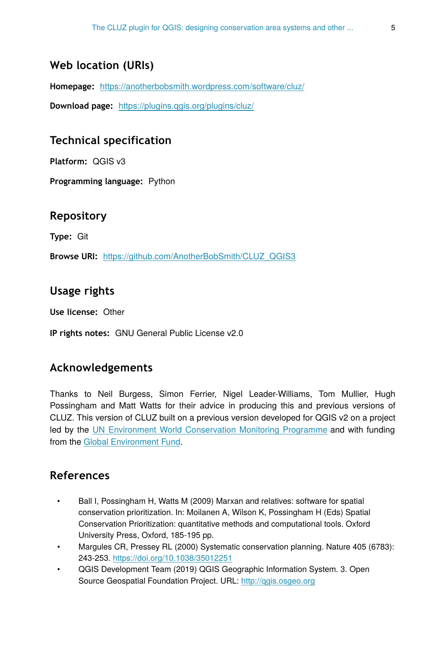# **Web location (URIs)**

**Homepage:** <https://anotherbobsmith.wordpress.com/software/cluz/>

**Download page:** <https://plugins.qgis.org/plugins/cluz/>

# **Technical specification**

**Platform:** QGIS v3

**Programming language:** Python

### **Repository**

**Type:** Git

**Browse URI:** [https://github.com/AnotherBobSmith/CLUZ\\_QGIS3](https://github.com/AnotherBobSmith/CLUZ_QGIS3)

# **Usage rights**

**Use license:** Other

**IP rights notes:** GNU General Public License v2.0

# **Acknowledgements**

Thanks to Neil Burgess, Simon Ferrier, Nigel Leader-Williams, Tom Mullier, Hugh Possingham and Matt Watts for their advice in producing this and previous versions of CLUZ. This version of CLUZ built on a previous version developed for QGIS v2 on a project led by the [UN Environment World Conservation Monitoring Programme](https://www.unep-wcmc.org/) and with funding from the [Global Environment Fund](https://www.thegef.org/).

# **References**

- Ball I, Possingham H, Watts M (2009) Marxan and relatives: software for spatial conservation prioritization. In: Moilanen A, Wilson K, Possingham H (Eds) Spatial Conservation Prioritization: quantitative methods and computational tools. Oxford University Press, Oxford, 185-195 pp.
- Margules CR, Pressey RL (2000) Systematic conservation planning. Nature 405 (6783): 243‑253. <https://doi.org/10.1038/35012251>
- QGIS Development Team (2019) QGIS Geographic Information System. 3. Open Source Geospatial Foundation Project. URL:<http://qgis.osgeo.org>